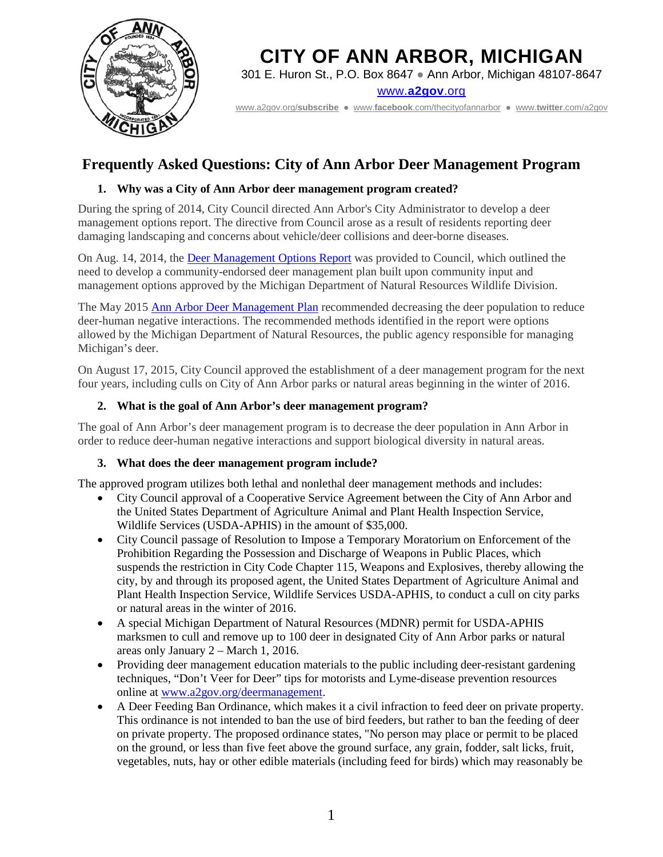

301 E. Huron St., P.O. Box 8647 ● Ann Arbor, Michigan 48107-8647

www.**[a2gov](http://www.a2gov.org/)**.org

[www.a2gov.org/](http://www.a2gov.org/subscribe)**subscribe** ● www.**facebook**[.com/thecityofannarbor](http://www.facebook.com/thecityofannarbor) ● www.**twitter**[.com/a2gov](http://www.twitter.com/a2gov)

# **Frequently Asked Questions: City of Ann Arbor Deer Management Program**

### **1. Why was a City of Ann Arbor deer management program created?**

During the spring of 2014, City Council directed Ann Arbor's City Administrator to develop a deer management options report. The directive from Council arose as a result of residents reporting deer damaging landscaping and concerns about vehicle/deer collisions and deer-borne diseases.

On Aug. 14, 2014, the [Deer Management Options Report](http://www.a2gov.org/departments/community-services/PublishingImages/Pages/Deer-Management-Project-/City%20Council%20Deer%20Management%20Report.pdf) was provided to Council, which outlined the need to develop a community-endorsed deer management plan built upon community input and management options approved by the Michigan Department of Natural Resources Wildlife Division.

The May 2015 [Ann Arbor Deer Management](http://www.a2gov.org/departments/community-services/PublishingImages/Pages/Deer-Management-Project-/Recommendations%20for%20Deer%20Managment%20in%20AA.pdf) Plan recommended decreasing the deer population to reduce deer-human negative interactions. The recommended methods identified in the report were options allowed by the Michigan Department of Natural Resources, the public agency responsible for managing Michigan's deer.

On August 17, 2015, City Council approved the establishment of a deer management program for the next four years, including culls on City of Ann Arbor parks or natural areas beginning in the winter of 2016.

#### **2. What is the goal of Ann Arbor's deer management program?**

The goal of Ann Arbor's deer management program is to decrease the deer population in Ann Arbor in order to reduce deer-human negative interactions and support biological diversity in natural areas.

#### **3. What does the deer management program include?**

The approved program utilizes both lethal and nonlethal deer management methods and includes:

- City Council approval of a Cooperative Service Agreement between the City of Ann Arbor and the United States Department of Agriculture Animal and Plant Health Inspection Service, Wildlife Services (USDA-APHIS) in the amount of \$35,000.
- City Council passage of Resolution to Impose a Temporary Moratorium on Enforcement of the Prohibition Regarding the Possession and Discharge of Weapons in Public Places, which suspends the restriction in City Code Chapter 115, Weapons and Explosives, thereby allowing the city, by and through its proposed agent, the United States Department of Agriculture Animal and Plant Health Inspection Service, Wildlife Services USDA-APHIS, to conduct a cull on city parks or natural areas in the winter of 2016.
- A special Michigan Department of Natural Resources (MDNR) permit for USDA-APHIS marksmen to cull and remove up to 100 deer in designated City of Ann Arbor parks or natural areas only January 2 – March 1, 2016.
- Providing deer management education materials to the public including deer-resistant gardening techniques, "Don't Veer for Deer" tips for motorists and Lyme-disease prevention resources online at [www.a2gov.org/deermanagement.](http://www.a2gov.org/deermanagement)
- A Deer Feeding Ban Ordinance, which makes it a civil infraction to feed deer on private property. This ordinance is not intended to ban the use of bird feeders, but rather to ban the feeding of deer on private property. The proposed ordinance states, "No person may place or permit to be placed on the ground, or less than five feet above the ground surface, any grain, fodder, salt licks, fruit, vegetables, nuts, hay or other edible materials (including feed for birds) which may reasonably be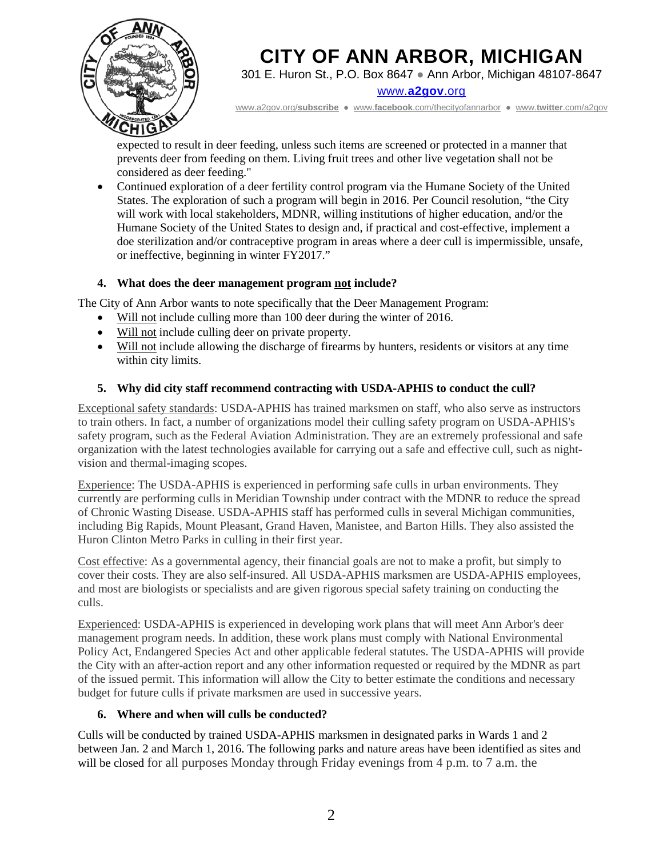

301 E. Huron St., P.O. Box 8647 ● Ann Arbor, Michigan 48107-8647

www.**[a2gov](http://www.a2gov.org/)**.org

[www.a2gov.org/](http://www.a2gov.org/subscribe)**subscribe** ● www.**facebook**[.com/thecityofannarbor](http://www.facebook.com/thecityofannarbor) ● www.**twitter**[.com/a2gov](http://www.twitter.com/a2gov)

expected to result in deer feeding, unless such items are screened or protected in a manner that prevents deer from feeding on them. Living fruit trees and other live vegetation shall not be considered as deer feeding."

• Continued exploration of a deer fertility control program via the Humane Society of the United States. The exploration of such a program will begin in 2016. Per Council resolution, "the City will work with local stakeholders, MDNR, willing institutions of higher education, and/or the Humane Society of the United States to design and, if practical and cost-effective, implement a doe sterilization and/or contraceptive program in areas where a deer cull is impermissible, unsafe, or ineffective, beginning in winter FY2017."

# **4. What does the deer management program not include?**

The City of Ann Arbor wants to note specifically that the Deer Management Program:

- Will not include culling more than 100 deer during the winter of 2016.
- Will not include culling deer on private property.
- Will not include allowing the discharge of firearms by hunters, residents or visitors at any time within city limits.

# **5. Why did city staff recommend contracting with USDA-APHIS to conduct the cull?**

Exceptional safety standards: USDA-APHIS has trained marksmen on staff, who also serve as instructors to train others. In fact, a number of organizations model their culling safety program on USDA-APHIS's safety program, such as the Federal Aviation Administration. They are an extremely professional and safe organization with the latest technologies available for carrying out a safe and effective cull, such as nightvision and thermal-imaging scopes.

Experience: The USDA-APHIS is experienced in performing safe culls in urban environments. They currently are performing culls in Meridian Township under contract with the MDNR to reduce the spread of Chronic Wasting Disease. USDA-APHIS staff has performed culls in several Michigan communities, including Big Rapids, Mount Pleasant, Grand Haven, Manistee, and Barton Hills. They also assisted the Huron Clinton Metro Parks in culling in their first year.

Cost effective: As a governmental agency, their financial goals are not to make a profit, but simply to cover their costs. They are also self-insured. All USDA-APHIS marksmen are USDA-APHIS employees, and most are biologists or specialists and are given rigorous special safety training on conducting the culls.

Experienced: USDA-APHIS is experienced in developing work plans that will meet Ann Arbor's deer management program needs. In addition, these work plans must comply with National Environmental Policy Act, Endangered Species Act and other applicable federal statutes. The USDA-APHIS will provide the City with an after-action report and any other information requested or required by the MDNR as part of the issued permit. This information will allow the City to better estimate the conditions and necessary budget for future culls if private marksmen are used in successive years.

# **6. Where and when will culls be conducted?**

Culls will be conducted by trained USDA-APHIS marksmen in designated parks in Wards 1 and 2 between Jan. 2 and March 1, 2016. The following parks and nature areas have been identified as sites and will be closed for all purposes Monday through Friday evenings from 4 p.m. to 7 a.m. the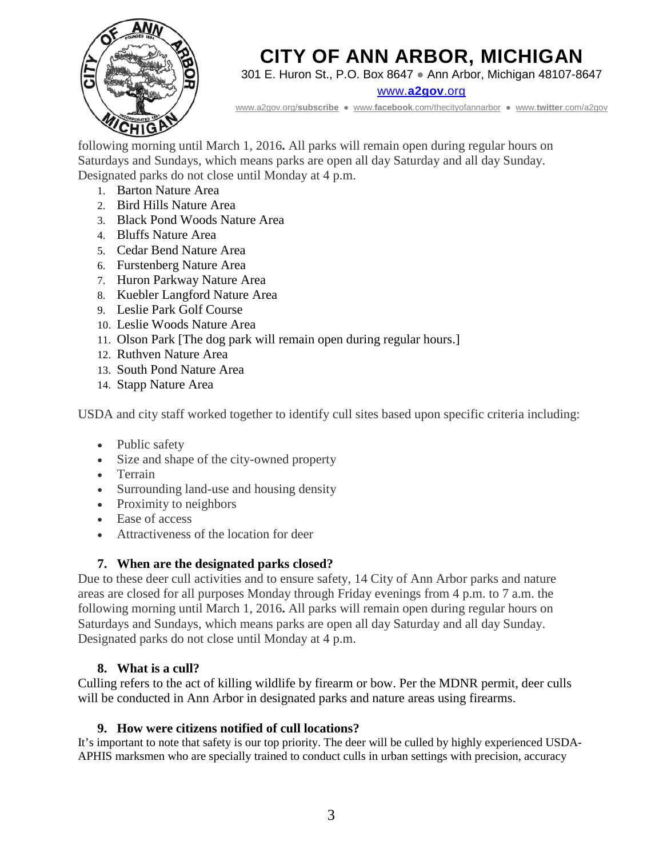

301 E. Huron St., P.O. Box 8647 ● Ann Arbor, Michigan 48107-8647

www.**[a2gov](http://www.a2gov.org/)**.org

[www.a2gov.org/](http://www.a2gov.org/subscribe)**subscribe** ● www.**facebook**[.com/thecityofannarbor](http://www.facebook.com/thecityofannarbor) ● www.**twitter**[.com/a2gov](http://www.twitter.com/a2gov)

following morning until March 1, 2016**.** All parks will remain open during regular hours on Saturdays and Sundays, which means parks are open all day Saturday and all day Sunday. Designated parks do not close until Monday at 4 p.m.

- 1. Barton Nature Area
- 2. Bird Hills Nature Area
- 3. Black Pond Woods Nature Area
- 4. Bluffs Nature Area
- 5. Cedar Bend Nature Area
- 6. Furstenberg Nature Area
- 7. Huron Parkway Nature Area
- 8. Kuebler Langford Nature Area
- 9. Leslie Park Golf Course
- 10. Leslie Woods Nature Area
- 11. Olson Park [The dog park will remain open during regular hours.]
- 12. Ruthven Nature Area
- 13. South Pond Nature Area
- 14. Stapp Nature Area

USDA and city staff worked together to identify cull sites based upon specific criteria including:

- Public safety
- Size and shape of the city-owned property
- Terrain
- Surrounding land-use and housing density
- Proximity to neighbors
- Ease of access
- Attractiveness of the location for deer

# **7. When are the designated parks closed?**

Due to these deer cull activities and to ensure safety, 14 City of Ann Arbor parks and nature areas are closed for all purposes Monday through Friday evenings from 4 p.m. to 7 a.m. the following morning until March 1, 2016**.** All parks will remain open during regular hours on Saturdays and Sundays, which means parks are open all day Saturday and all day Sunday. Designated parks do not close until Monday at 4 p.m.

# **8. What is a cull?**

Culling refers to the act of killing wildlife by firearm or bow. Per the MDNR permit, deer culls will be conducted in Ann Arbor in designated parks and nature areas using firearms.

# **9. How were citizens notified of cull locations?**

It's important to note that safety is our top priority. The deer will be culled by highly experienced USDA-APHIS marksmen who are specially trained to conduct culls in urban settings with precision, accuracy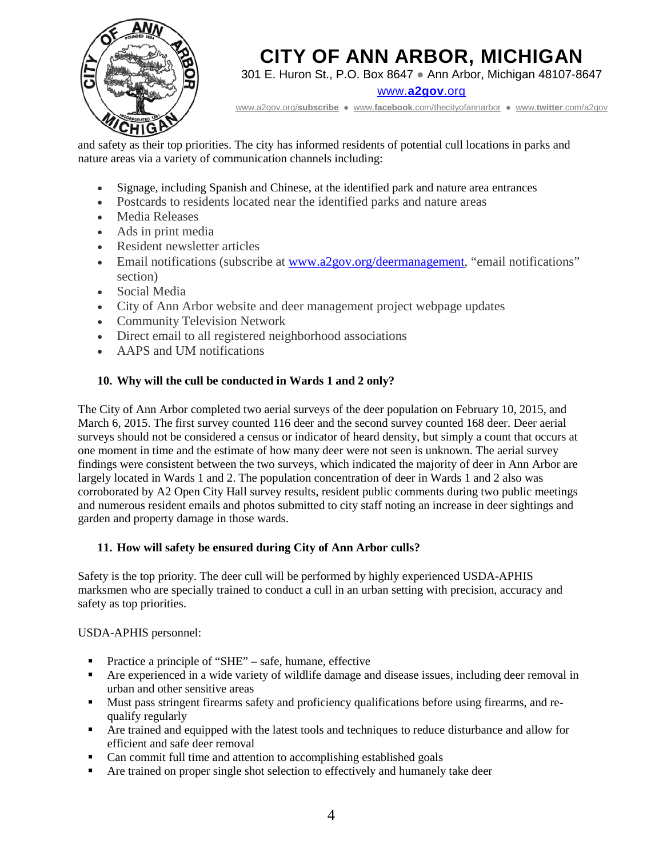

301 E. Huron St., P.O. Box 8647 ● Ann Arbor, Michigan 48107-8647

www.**[a2gov](http://www.a2gov.org/)**.org

[www.a2gov.org/](http://www.a2gov.org/subscribe)**subscribe** ● www.**facebook**[.com/thecityofannarbor](http://www.facebook.com/thecityofannarbor) ● www.**twitter**[.com/a2gov](http://www.twitter.com/a2gov)

and safety as their top priorities. The city has informed residents of potential cull locations in parks and nature areas via a variety of communication channels including:

- Signage, including Spanish and Chinese, at the identified park and nature area entrances
- Postcards to residents located near the identified parks and nature areas
- Media Releases
- Ads in print media
- Resident newsletter articles
- Email notifications (subscribe at [www.a2gov.org/deermanagement,](http://www.a2gov.org/deermanagement) "email notifications" section)
- Social Media
- City of Ann Arbor website and deer management project webpage updates
- Community Television Network
- Direct email to all registered neighborhood associations
- AAPS and UM notifications

#### **10. Why will the cull be conducted in Wards 1 and 2 only?**

The City of Ann Arbor completed two aerial surveys of the deer population on February 10, 2015, and March 6, 2015. The first survey counted 116 deer and the second survey counted 168 deer. Deer aerial surveys should not be considered a census or indicator of heard density, but simply a count that occurs at one moment in time and the estimate of how many deer were not seen is unknown. The aerial survey findings were consistent between the two surveys, which indicated the majority of deer in Ann Arbor are largely located in Wards 1 and 2. The population concentration of deer in Wards 1 and 2 also was corroborated by A2 Open City Hall survey results, resident public comments during two public meetings and numerous resident emails and photos submitted to city staff noting an increase in deer sightings and garden and property damage in those wards.

#### **11. How will safety be ensured during City of Ann Arbor culls?**

Safety is the top priority. The deer cull will be performed by highly experienced USDA-APHIS marksmen who are specially trained to conduct a cull in an urban setting with precision, accuracy and safety as top priorities.

USDA-APHIS personnel:

- Practice a principle of "SHE" safe, humane, effective
- Are experienced in a wide variety of wildlife damage and disease issues, including deer removal in urban and other sensitive areas
- Must pass stringent firearms safety and proficiency qualifications before using firearms, and requalify regularly
- Are trained and equipped with the latest tools and techniques to reduce disturbance and allow for efficient and safe deer removal
- Can commit full time and attention to accomplishing established goals
- Are trained on proper single shot selection to effectively and humanely take deer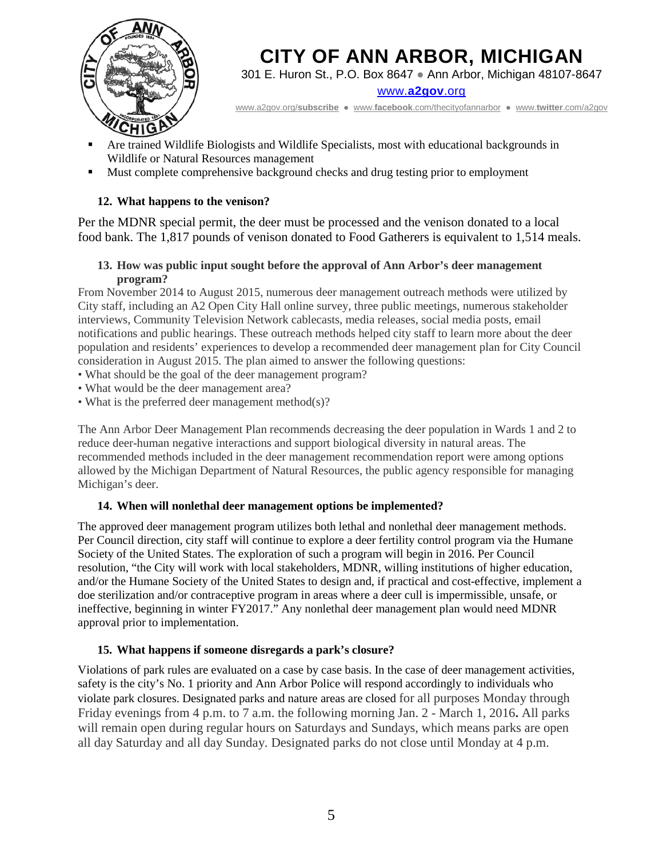

301 E. Huron St., P.O. Box 8647 ● Ann Arbor, Michigan 48107-8647

www.**[a2gov](http://www.a2gov.org/)**.org

[www.a2gov.org/](http://www.a2gov.org/subscribe)**subscribe** ● www.**facebook**[.com/thecityofannarbor](http://www.facebook.com/thecityofannarbor) ● www.**twitter**[.com/a2gov](http://www.twitter.com/a2gov)

- Are trained Wildlife Biologists and Wildlife Specialists, most with educational backgrounds in Wildlife or Natural Resources management
- Must complete comprehensive background checks and drug testing prior to employment

# **12. What happens to the venison?**

Per the MDNR special permit, the deer must be processed and the venison donated to a local food bank. The 1,817 pounds of venison donated to Food Gatherers is equivalent to 1,514 meals.

#### **13. How was public input sought before the approval of Ann Arbor's deer management program?**

From November 2014 to August 2015, numerous deer management outreach methods were utilized by City staff, including an A2 Open City Hall online survey, three public meetings, numerous stakeholder interviews, Community Television Network cablecasts, media releases, social media posts, email notifications and public hearings. These outreach methods helped city staff to learn more about the deer population and residents' experiences to develop a recommended deer management plan for City Council consideration in August 2015. The plan aimed to answer the following questions:

- What should be the goal of the deer management program?
- What would be the deer management area?
- What is the preferred deer management method(s)?

The Ann Arbor Deer Management Plan recommends decreasing the deer population in Wards 1 and 2 to reduce deer-human negative interactions and support biological diversity in natural areas. The recommended methods included in the deer management recommendation report were among options allowed by the Michigan Department of Natural Resources, the public agency responsible for managing Michigan's deer.

#### **14. When will nonlethal deer management options be implemented?**

The approved deer management program utilizes both lethal and nonlethal deer management methods. Per Council direction, city staff will continue to explore a deer fertility control program via the Humane Society of the United States. The exploration of such a program will begin in 2016. Per Council resolution, "the City will work with local stakeholders, MDNR, willing institutions of higher education, and/or the Humane Society of the United States to design and, if practical and cost-effective, implement a doe sterilization and/or contraceptive program in areas where a deer cull is impermissible, unsafe, or ineffective, beginning in winter FY2017." Any nonlethal deer management plan would need MDNR approval prior to implementation.

#### **15. What happens if someone disregards a park's closure?**

Violations of park rules are evaluated on a case by case basis. In the case of deer management activities, safety is the city's No. 1 priority and Ann Arbor Police will respond accordingly to individuals who violate park closures. Designated parks and nature areas are closed for all purposes Monday through Friday evenings from 4 p.m. to 7 a.m. the following morning Jan. 2 - March 1, 2016**.** All parks will remain open during regular hours on Saturdays and Sundays, which means parks are open all day Saturday and all day Sunday. Designated parks do not close until Monday at 4 p.m.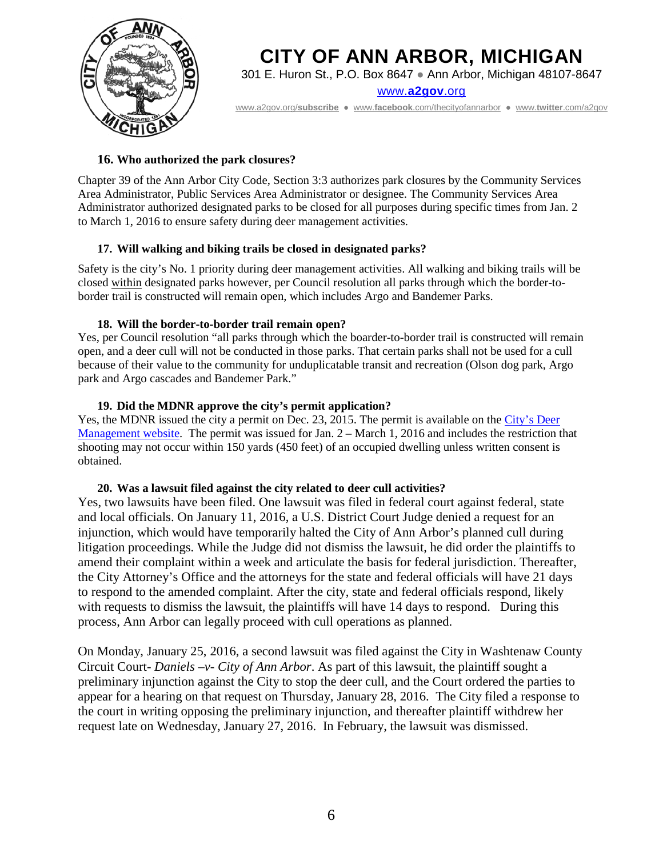

301 E. Huron St., P.O. Box 8647 ● Ann Arbor, Michigan 48107-8647

www.**[a2gov](http://www.a2gov.org/)**.org

[www.a2gov.org/](http://www.a2gov.org/subscribe)**subscribe** ● www.**facebook**[.com/thecityofannarbor](http://www.facebook.com/thecityofannarbor) ● www.**twitter**[.com/a2gov](http://www.twitter.com/a2gov)

#### **16. Who authorized the park closures?**

Chapter 39 of the Ann Arbor City Code, Section 3:3 authorizes park closures by the Community Services Area Administrator, Public Services Area Administrator or designee. The Community Services Area Administrator authorized designated parks to be closed for all purposes during specific times from Jan. 2 to March 1, 2016 to ensure safety during deer management activities.

#### **17. Will walking and biking trails be closed in designated parks?**

Safety is the city's No. 1 priority during deer management activities. All walking and biking trails will be closed within designated parks however, per Council resolution all parks through which the border-toborder trail is constructed will remain open, which includes Argo and Bandemer Parks.

#### **18. Will the border-to-border trail remain open?**

Yes, per Council resolution "all parks through which the boarder-to-border trail is constructed will remain open, and a deer cull will not be conducted in those parks. That certain parks shall not be used for a cull because of their value to the community for unduplicatable transit and recreation (Olson dog park, Argo park and Argo cascades and Bandemer Park."

#### **19. Did the MDNR approve the city's permit application?**

Yes, the MDNR issued the city a permit on Dec. 23, 2015. The permit is available on the City's Deer [Management website.](http://www.a2gov.org/departments/community-services/Documents/mdnrpermit12232015.pdf) The permit was issued for Jan. 2 – March 1, 2016 and includes the restriction that shooting may not occur within 150 yards (450 feet) of an occupied dwelling unless written consent is obtained.

#### **20. Was a lawsuit filed against the city related to deer cull activities?**

Yes, two lawsuits have been filed. One lawsuit was filed in federal court against federal, state and local officials. On January 11, 2016, a U.S. District Court Judge denied a request for an injunction, which would have temporarily halted the City of Ann Arbor's planned cull during litigation proceedings. While the Judge did not dismiss the lawsuit, he did order the plaintiffs to amend their complaint within a week and articulate the basis for federal jurisdiction. Thereafter, the City Attorney's Office and the attorneys for the state and federal officials will have 21 days to respond to the amended complaint. After the city, state and federal officials respond, likely with requests to dismiss the lawsuit, the plaintiffs will have 14 days to respond. During this process, Ann Arbor can legally proceed with cull operations as planned.

On Monday, January 25, 2016, a second lawsuit was filed against the City in Washtenaw County Circuit Court- *Daniels –v- City of Ann Arbor*. As part of this lawsuit, the plaintiff sought a preliminary injunction against the City to stop the deer cull, and the Court ordered the parties to appear for a hearing on that request on Thursday, January 28, 2016. The City filed a response to the court in writing opposing the preliminary injunction, and thereafter plaintiff withdrew her request late on Wednesday, January 27, 2016. In February, the lawsuit was dismissed.